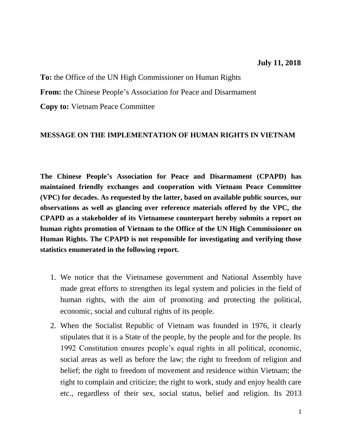## **July 11, 2018**

**To:** the Office of the UN High Commissioner on Human Rights **From:** the Chinese People's Association for Peace and Disarmament

**Copy to:** Vietnam Peace Committee

## **MESSAGE ON THE IMPLEMENTATION OF HUMAN RIGHTS IN VIETNAM**

**The Chinese People's Association for Peace and Disarmament (CPAPD) has maintained friendly exchanges and cooperation with Vietnam Peace Committee (VPC) for decades. As requested by the latter, based on available public sources, our observations as well as glancing over reference materials offered by the VPC, the CPAPD as a stakeholder of its Vietnamese counterpart hereby submits a report on human rights promotion of Vietnam to the Office of the UN High Commissioner on Human Rights. The CPAPD is not responsible for investigating and verifying those statistics enumerated in the following report.**

- 1. We notice that the Vietnamese government and National Assembly have made great efforts to strengthen its legal system and policies in the field of human rights, with the aim of promoting and protecting the political, economic, social and cultural rights of its people.
- 2. When the Socialist Republic of Vietnam was founded in 1976, it clearly stipulates that it is a State of the people, by the people and for the people. Its 1992 Constitution ensures people's equal rights in all political, economic, social areas as well as before the law; the right to freedom of religion and belief; the right to freedom of movement and residence within Vietnam; the right to complain and criticize; the right to work, study and enjoy health care etc., regardless of their sex, social status, belief and religion. Its 2013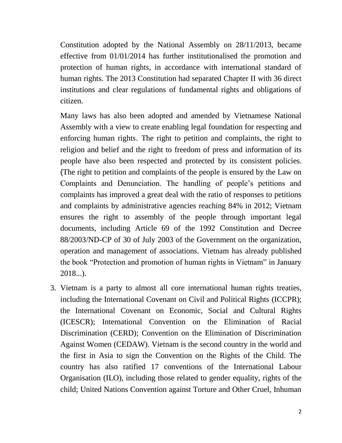Constitution adopted by the National Assembly on 28/11/2013, became effective from 01/01/2014 has further institutionalised the promotion and protection of human rights, in accordance with international standard of human rights. The 2013 Constitution had separated Chapter II with 36 direct institutions and clear regulations of fundamental rights and obligations of citizen.

Many laws has also been adopted and amended by Vietnamese National Assembly with a view to create enabling legal foundation for respecting and enforcing human rights. The right to petition and complaints, the right to religion and belief and the right to freedom of press and information of its people have also been respected and protected by its consistent policies. (The right to petition and complaints of the people is ensured by the Law on Complaints and Denunciation. The handling of people's petitions and complaints has improved a great deal with the ratio of responses to petitions and complaints by administrative agencies reaching 84% in 2012; Vietnam ensures the right to assembly of the people through important legal documents, including Article 69 of the 1992 Constitution and Decree 88/2003/ND-CP of 30 of July 2003 of the Government on the organization, operation and management of associations. Vietnam has already published the book "Protection and promotion of human rights in Vietnam" in January 2018...).

3. Vietnam is a party to almost all core international human rights treaties, including the International Covenant on Civil and Political Rights (ICCPR); the International Covenant on Economic, Social and Cultural Rights (ICESCR); International Convention on the Elimination of Racial Discrimination (CERD); Convention on the Elimination of Discrimination Against Women (CEDAW). Vietnam is the second country in the world and the first in Asia to sign the Convention on the Rights of the Child. The country has also ratified 17 conventions of the International Labour Organisation (ILO), including those related to gender equality, rights of the child; United Nations Convention against Torture and Other Cruel, Inhuman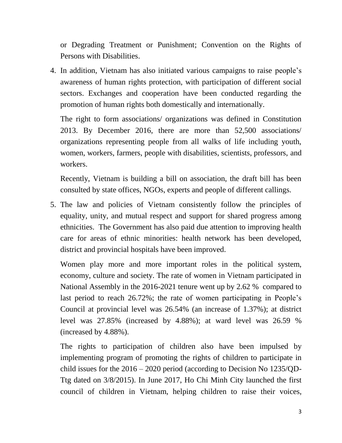or Degrading Treatment or Punishment; Convention on the Rights of Persons with Disabilities.

4. In addition, Vietnam has also initiated various campaigns to raise people's awareness of human rights protection, with participation of different social sectors. Exchanges and cooperation have been conducted regarding the promotion of human rights both domestically and internationally.

The right to form associations/ organizations was defined in Constitution 2013. By December 2016, there are more than 52,500 associations/ organizations representing people from all walks of life including youth, women, workers, farmers, people with disabilities, scientists, professors, and workers.

Recently, Vietnam is building a bill on association, the draft bill has been consulted by state offices, NGOs, experts and people of different callings.

5. The law and policies of Vietnam consistently follow the principles of equality, unity, and mutual respect and support for shared progress among ethnicities. The Government has also paid due attention to improving health care for areas of ethnic minorities: health network has been developed, district and provincial hospitals have been improved.

Women play more and more important roles in the political system, economy, culture and society. The rate of women in Vietnam participated in National Assembly in the 2016-2021 tenure went up by 2.62 % compared to last period to reach 26.72%; the rate of women participating in People's Council at provincial level was 26.54% (an increase of 1.37%); at district level was 27.85% (increased by 4.88%); at ward level was 26.59 % (increased by 4.88%).

The rights to participation of children also have been impulsed by implementing program of promoting the rights of children to participate in child issues for the 2016 – 2020 period (according to Decision No 1235/QD-Ttg dated on 3/8/2015). In June 2017, Ho Chi Minh City launched the first council of children in Vietnam, helping children to raise their voices,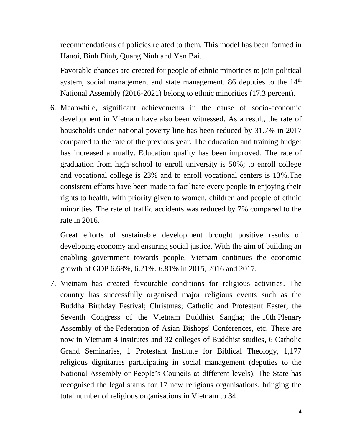recommendations of policies related to them. This model has been formed in Hanoi, Binh Dinh, Quang Ninh and Yen Bai.

Favorable chances are created for people of ethnic minorities to join political system, social management and state management. 86 deputies to the  $14<sup>th</sup>$ National Assembly (2016-2021) belong to ethnic minorities (17.3 percent).

6. Meanwhile, significant achievements in the cause of socio-economic development in Vietnam have also been witnessed. As a result, the rate of households under national poverty line has been reduced by 31.7% in 2017 compared to the rate of the previous year. The education and training budget has increased annually. Education quality has been improved. The rate of graduation from high school to enroll university is 50%; to enroll college and vocational college is 23% and to enroll vocational centers is 13%.The consistent efforts have been made to facilitate every people in enjoying their rights to health, with priority given to women, children and people of ethnic minorities. The rate of traffic accidents was reduced by 7% compared to the rate in 2016.

Great efforts of sustainable development brought positive results of developing economy and ensuring social justice. With the aim of building an enabling government towards people, Vietnam continues the economic growth of GDP 6.68%, 6.21%, 6.81% in 2015, 2016 and 2017.

7. Vietnam has created favourable conditions for religious activities. The country has successfully organised major religious events such as the Buddha Birthday Festival; Christmas; Catholic and Protestant Easter; the Seventh Congress of the Vietnam Buddhist Sangha; the 10th Plenary Assembly of the Federation of Asian Bishops' Conferences, etc. There are now in Vietnam 4 institutes and 32 colleges of Buddhist studies, 6 Catholic Grand Seminaries, 1 Protestant Institute for Biblical Theology, 1,177 religious dignitaries participating in social management (deputies to the National Assembly or People's Councils at different levels). The State has recognised the legal status for 17 new religious organisations, bringing the total number of religious organisations in Vietnam to 34.